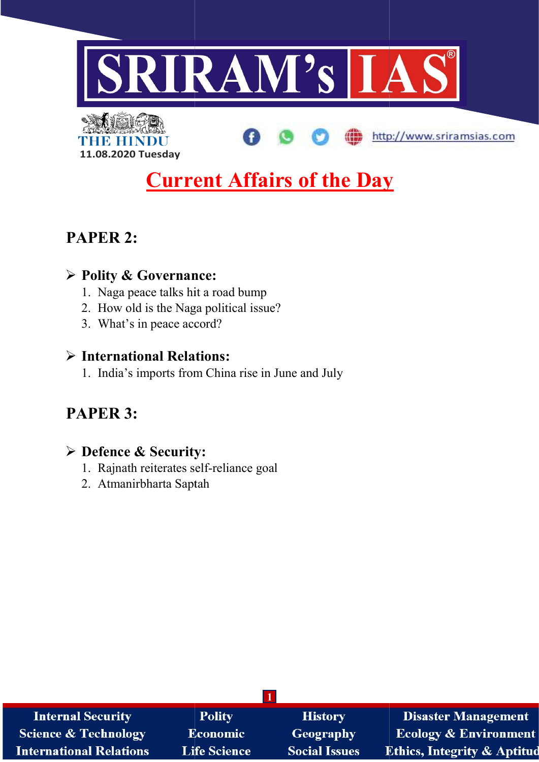

http://www.sriramsias.com



# **Current Affairs of the Day**

# PAPER 2:

# Polity & Governance:

- 1. Naga peace talks hit a road bump
- 2. How old is the Naga political issue?
- 3. What's in peace accord?

# $\triangleright$  International Relations:

1. India's imports from China rise in June and July Exercial is the Naga political issue?<br>
in peace accord?<br> **onal Relations:**<br>
imports from China rise in June

# PAPER 3:

# Defence & Security: & Security:

- 1. Rajnath reiterates self-reliance goal
- 2. Atmanirbharta Saptah

| <b>Internal Security</b>        | <b>Polity</b>       | <b>History</b>       | <b>Disaster Management</b>             |
|---------------------------------|---------------------|----------------------|----------------------------------------|
| <b>Science &amp; Technology</b> | <b>Economic</b>     | <b>Geography</b>     | <b>Ecology &amp; Environment</b>       |
| <b>International Relations</b>  | <b>Life Science</b> | <b>Social Issues</b> | <b>Ethics, Integrity &amp; Aptitud</b> |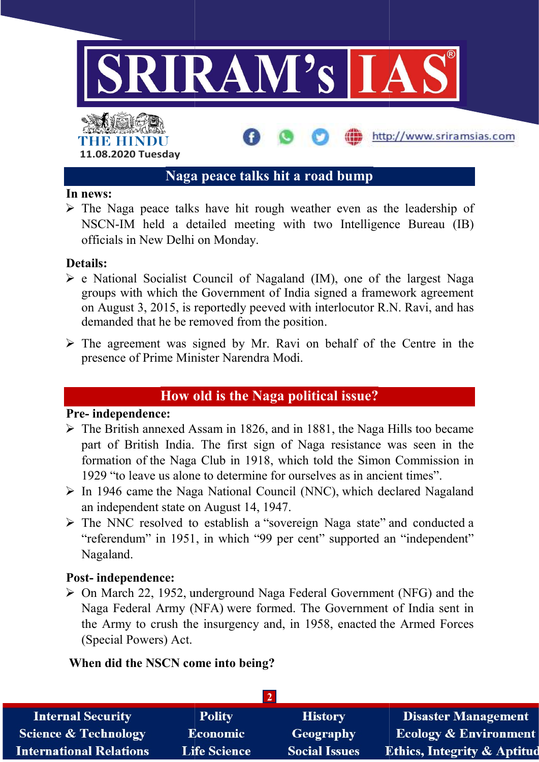

# Naga peace talks hit a road bump Naga peace talks

#### In news:

 $\triangleright$  The Naga peace talks have hit rough weather even as the leadership of NSCN-IM held a detailed meeting with two Intelligence Bureau (IB) officials in New Delhi on Monday.

#### Details:

- $\triangleright$  e National Socialist Council of Nagaland (IM), one of the largest Naga groups with which the Government of India signed a framework agreement on August 3, 2015, is reportedly peeved with interlocutor R.N. Ravi, and has demanded that he be removed from the position. im held a detailed meeting with two Intellige<br>in New Delhi on Monday.<br>onal Socialist Council of Nagaland (IM), one of<br>with which the Government of India signed a fram<br>ust 3, 2015, is reportedly peeved with interlocutor F<br>l
- $\triangleright$  The agreement was signed by Mr. Ravi on behalf of the Centre in the presence of Prime Minister Narendra Modi.

### How old is the Naga political issue?

#### Pre- independence:

- $\triangleright$  The British annexed Assam in 1826, and in 1881, the Naga Hills too became part of British India. The first sign of Naga resistance was seen in the formation of the Naga Club in 1918, which told the Simon Commission in 1929 "to leave us alone to determine for ourselves as in ancient times". The British annexed Assam in 1826, and in 1881, the Naga Hills too became<br>part of British India. The first sign of Naga resistance was seen in the<br>formation of the Naga Club in 1918, which told the Simon Commission in<br>192
- an independent state on August 14, 1947.
- an independent state on August 14, 1947.<br>  $\triangleright$  The NNC resolved to establish a "sovereign Naga state" and conducted "referendum" in 1951, in which "99 per cent" supported an "independent"<br>Nagaland.<br>st- independence:<br>On March 22, 1952, underground Naga Federal Government (NFG) and the Nagaland.

#### Post- independence:

 On March 22, 1952, underground Naga Federal Government (NFG) and the Naga Federal Army (NFA) were formed. The Government of India sent in the Army to crush the insurgency and, in 1958, enacted the Armed Forces (Special Powers) Act. esolved to establish a "sovereign Naga state" and conducted a<br>
" in 1951, in which "99 per cent" supported an "independent"<br>
lence:<br>
2, 1952, underground Naga Federal Government (NFG) and the<br>
ul Army (NFA) were formed. Th

#### When did the NSCN come into being?

| <b>Internal Security</b>        | <b>Polity</b>       | <b>History</b>       | <b>Disaster Management</b>              |
|---------------------------------|---------------------|----------------------|-----------------------------------------|
| <b>Science &amp; Technology</b> | Economic            | Geography            | <b>Ecology &amp; Environment</b>        |
| <b>International Relations</b>  | <b>Life Science</b> | <b>Social Issues</b> | <b>Ethics, Integrity &amp; Aptitude</b> |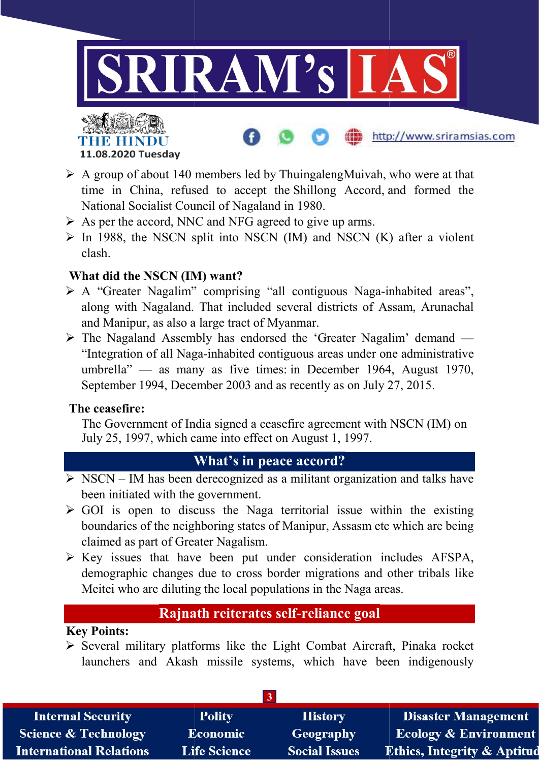

http://www.sriramsias.com



- $\triangleright$  A group of about 140 members led by ThuingalengMuivah, who were at that time in China, refused to accept the Shillong Accord, and formed the National Socialist Council of Nagaland in 1980.
- $\triangleright$  As per the accord, NNC and NFG agreed to give up arms.
- National Socialist Council of Nagaland in 1980.<br>  $\triangleright$  As per the accord, NNC and NFG agreed to give up arms.<br>  $\triangleright$  In 1988, the NSCN split into NSCN (IM) and NSCN (K) after a violent clash.

#### What did the NSCN (IM) want?

- A "Greater Nagalim" comprising "all contiguous Naga-inhabited areas", along with Nagaland. That included several districts of Assam, Arunachal and Manipur, as also a large tract of Myanmar. along with Nagaland. That included several districts of Assam, Arunac and Manipur, as also a large tract of Myanmar.<br>
> The Nagaland Assembly has endorsed the 'Greater Nagalim' demand
- "Integration of all Naga-inhabited contiguous areas under one administrative umbrella" — as many as five times: in December 1964, August 1970, September 1994, December 2003 and as recently as on July 27, 2015. ther Nagalim" comprising "all contiguous Naga-inhabited areas",<br>th Nagaland. That included several districts of Assam, Arunachal<br>ipur, as also a large tract of Myanmar.<br>igualand Assembly has endorsed the 'Greater Nagalim'

#### The ceasefire:

September 1994, December 2003 and as recently as on July 27, 2015.<br> **In the Solution Convert Convertion** a ceasefire agreement with NSCN (IM) on July 25, 1997, which came into effect on August 1, 1997.

### What's in peace accord? What's in

- $\triangleright$  NSCN IM has been derecognized as a militant organization and talks have been initiated with the government.
- $\triangleright$  GOI is open to discuss the Naga territorial issue within the existing boundaries of the neighboring states of Manipur, Assasm etc which are being claimed as part of Greater Nagalism.
- $\triangleright$  Key issues that have been put under consideration includes AFSPA, demographic changes due to cross border migrations and other tribals like Meitei who are diluting the local populations in the Naga areas. has been derecognized as a militant organization and talks I<br>been initiated with the government.<br>GOI is open to discuss the Naga territorial issue within the exis<br>boundaries of the neighboring states of Manipur, Assasm etc

## Rajnath reiterates self-reliance goal

### Key Points:

 $\triangleright$  Several military platforms like the Light Combat Aircraft, Pinaka rocket launchers and Akash missile systems, which have been indigenously

| <b>Internal Security</b>        | <b>Polity</b>       | <b>History</b>       | <b>Disaster Management</b>             |
|---------------------------------|---------------------|----------------------|----------------------------------------|
| <b>Science &amp; Technology</b> | <b>Economic</b>     | Geography            | <b>Ecology &amp; Environment</b>       |
| <b>International Relations</b>  | <b>Life Science</b> | <b>Social Issues</b> | <b>Ethics, Integrity &amp; Aptitud</b> |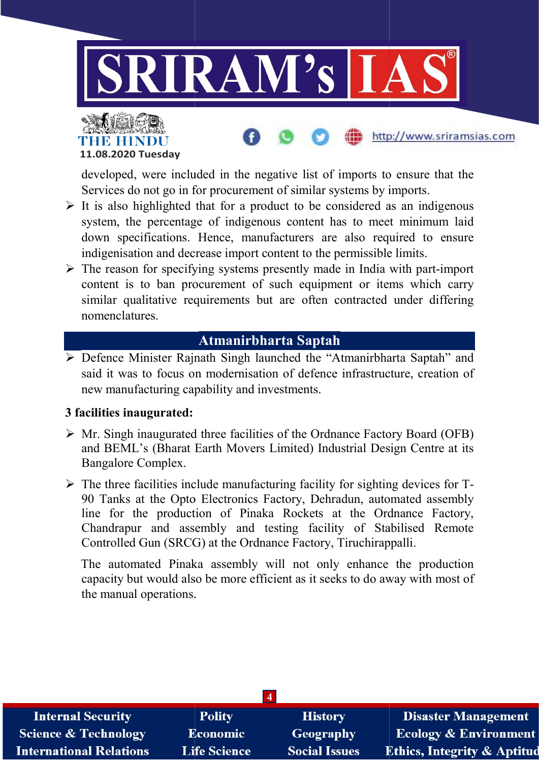



developed, were included in the negative list of imports to ensure that the Services do not go in for procurement of similar systems by imports.

http://www.sriramsias.com

- $\triangleright$  It is also highlighted that for a product to be considered as an indigenous system, the percentage of indigenous content has to meet minimum laid down specifications. Hence, manufacturers are also required to ensure indigenisation and decrease import content to the permissible limits. system, the percentage of indigenous content has to meet minimum laid<br>down specifications. Hence, manufacturers are also required to ensure<br>indigenisation and decrease import content to the permissible limits.<br>> The reason d, were included in the negative list of imports to ensure that the do not go in for procurement of similar systems by imports.<br>
highlighted that for a product to be considered as an indigenous the percentage of indigenous
- content is to ban procurement of such equipment or items which carry similar qualitative requirements but are often contracted under differing nomenclatures. reason for specifying systems presently made in India with pa<br>ent is to ban procurement of such equipment or items wh<br>lar qualitative requirements but are often contracted under

# Atmanirbharta Saptah

 Defence Minister Rajnath Singh launched the "Atmanirbharta Saptah" and the t was of and three of Board (Bharat Limited) Industrial Design Centre at its said it was to focus on modernisation of defence infrastructure, creation of new manufacturing capability and investments.

#### 3 facilities inaugurated:

- $\triangleright$  Mr. Singh inaugurated three facilities of the Ordnance Factory Board (OFB) and BEML's (Bharat Earth Movers Limited) Industrial Design Centre at its Bangalore Complex.
- $\triangleright$  The three facilities include manufacturing facility for sighting devices for T-90 Tanks at the Opto Electronics Factory, Dehradun, automated assembly line for the production of Pinaka Rockets at the Ordnance Factory, Chandrapur and assembly and testing facility of Stabilised Remote Controlled Gun (SRCG) at the Ordnance Factory, Tiruchirappalli. three facilities include manufacturing facility for sighting devices for T-<br>Tanks at the Opto Electronics Factory, Dehradun, automated assembly<br>for the production of Pinaka Rockets at the Ordnance Factory, Rockets at the<br>sting facility of<br>ice Factory, Tiruch<br>ill not only enha<br>ent as it seeks to d

The automated Pinaka assembly will not only enhance the production Chandrapur and assembly and testing facility of Stabilised Remote<br>Controlled Gun (SRCG) at the Ordnance Factory, Tiruchirappalli.<br>The automated Pinaka assembly will not only enhance the production<br>capacity but would also b the manual operations.

| $\overline{\mathbf{4}}$         |                     |                      |                                        |
|---------------------------------|---------------------|----------------------|----------------------------------------|
| <b>Internal Security</b>        | <b>Polity</b>       | <b>History</b>       | <b>Disaster Management</b>             |
| <b>Science &amp; Technology</b> | <b>Economic</b>     | <b>Geography</b>     | <b>Ecology &amp; Environment</b>       |
| <b>International Relations</b>  | <b>Life Science</b> | <b>Social Issues</b> | <b>Ethics, Integrity &amp; Aptitud</b> |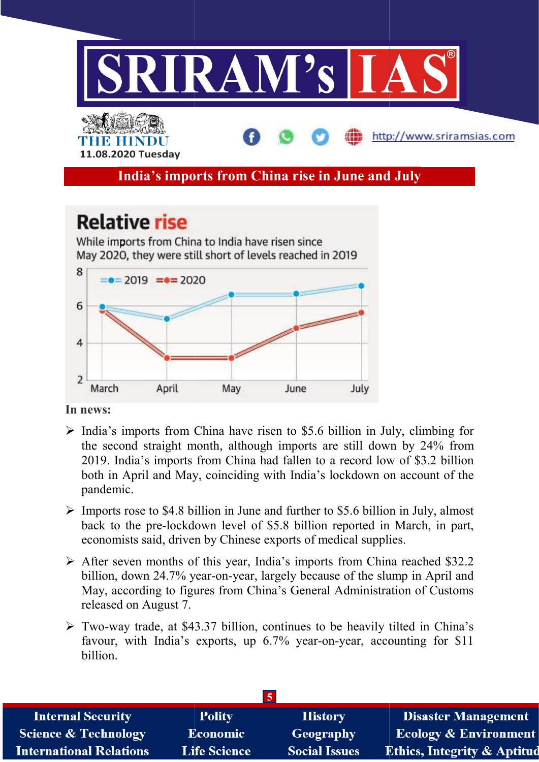

#### In news:

- $\triangleright$  India's imports from China have risen to \$5.6 billion in July, climbing for the second straight month, although imports are still down by 24% from the second straight month, although imports are still down by 24% from 2019. India's imports from China had fallen to a record low of \$3.2 billion both in April and May, coinciding with India's lockdown on account of the pandemic. India's imports from China had fallen to a record low of \$3.2 billio<br>in April and May, coinciding with India's lockdown on account of th<br>emic.<br>rts rose to \$4.8 billion in June and further to \$5.6 billion in July, almos
- $\triangleright$  Imports rose to \$4.8 billion in June and further to \$5.6 billion in July, almost back to the pre-lockdown level of \$5.8 billion reported in March, in part, economists said, driven by Chinese exports of medical supplies. back to the pre-lockdown level of \$5.8 billion reported in March, in part, economists said, driven by Chinese exports of medical supplies.<br>After seven months of this year, India's imports from China reached \$32.2 billion,
- $\triangleright$  After seven months of this year, India's imports from China reached \$32.2 May, according to figures from China's General Administration of Customs released on August 7. y because of th<br>General Admir<br>nues to be hea<br>year-on-year,
- Two-way trade, at \$43.37 billion, continues to be heavily tilted in China's favour, with India's exports, up 6.7% year-on-year, accounting for \$11 billion. according to figures from China's General Administration of Customs<br>sed on August 7.<br>way trade, at \$43.37 billion, continues to be heavily tilted in China's<br>r, with India's exports, up 6.7% year-on-year, accounting for \$11

| <b>Internal Security</b>        | <b>Polity</b>       | <b>History</b>       | <b>Disaster Management</b>             |  |
|---------------------------------|---------------------|----------------------|----------------------------------------|--|
| <b>Science &amp; Technology</b> | <b>Economic</b>     | Geography            | <b>Ecology &amp; Environment</b>       |  |
| <b>International Relations</b>  | <b>Life Science</b> | <b>Social Issues</b> | <b>Ethics, Integrity &amp; Aptitud</b> |  |